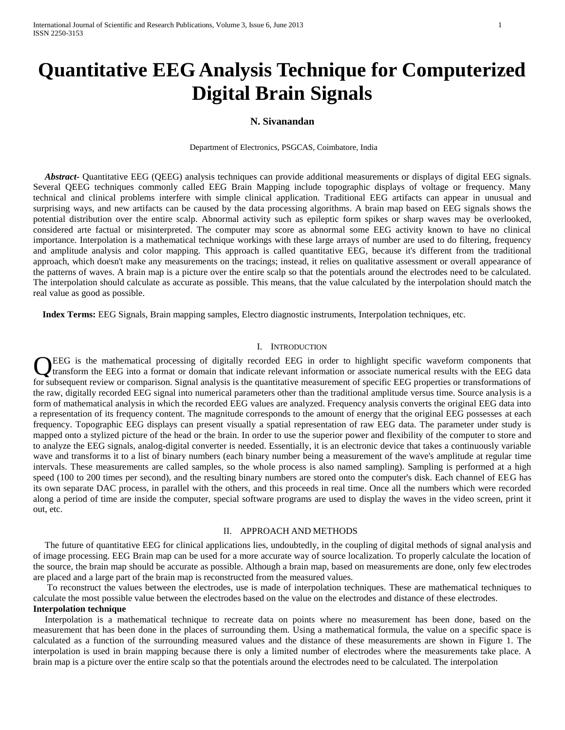# **Quantitative EEG Analysis Technique for Computerized Digital Brain Signals**

## **N. Sivanandan**

Department of Electronics, PSGCAS, Coimbatore, India

 *Abstract-* Quantitative EEG (QEEG) analysis techniques can provide additional measurements or displays of digital EEG signals. Several QEEG techniques commonly called EEG Brain Mapping include topographic displays of voltage or frequency. Many technical and clinical problems interfere with simple clinical application. Traditional EEG artifacts can appear in unusual and surprising ways, and new artifacts can be caused by the data processing algorithms. A brain map based on EEG signals shows the potential distribution over the entire scalp. Abnormal activity such as epileptic form spikes or sharp waves may be overlooked, considered arte factual or misinterpreted. The computer may score as abnormal some EEG activity known to have no clinical importance. Interpolation is a mathematical technique workings with these large arrays of number are used to do filtering, frequency and amplitude analysis and color mapping. This approach is called quantitative EEG, because it's different from the traditional approach, which doesn't make any measurements on the tracings; instead, it relies on qualitative assessment or overall appearance of the patterns of waves. A brain map is a picture over the entire scalp so that the potentials around the electrodes need to be calculated. The interpolation should calculate as accurate as possible. This means, that the value calculated by the interpolation should match the real value as good as possible.

 **Index Terms:** EEG Signals, Brain mapping samples, Electro diagnostic instruments, Interpolation techniques, etc.

# I. INTRODUCTION

EEG is the mathematical processing of digitally recorded EEG in order to highlight specific waveform components that It transform the EEG into a format or domain that indicate relevant information or associate numerical results with the EEG data LEG is the mathematical processing of digitally recorded EEG in order to highlight specific waveform components that transform the EEG into a format or domain that indicate relevant information or associate numerical resul the raw, digitally recorded EEG signal into numerical parameters other than the traditional amplitude versus time. Source analysis is a form of mathematical analysis in which the recorded EEG values are analyzed. Frequency analysis converts the original EEG data into a representation of its frequency content. The magnitude corresponds to the amount of energy that the original EEG possesses at each frequency. Topographic EEG displays can present visually a spatial representation of raw EEG data. The parameter under study is mapped onto a stylized picture of the head or the brain. In order to use the superior power and flexibility of the computer to store and to analyze the EEG signals, analog-digital converter is needed. Essentially, it is an electronic device that takes a continuously variable wave and transforms it to a list of binary numbers (each binary number being a measurement of the wave's amplitude at regular time intervals. These measurements are called samples, so the whole process is also named sampling). Sampling is performed at a high speed (100 to 200 times per second), and the resulting binary numbers are stored onto the computer's disk. Each channel of EEG has its own separate DAC process, in parallel with the others, and this proceeds in real time. Once all the numbers which were recorded along a period of time are inside the computer, special software programs are used to [display](http://www.cerebromente.org.br/n03/tecnologia/plwin3.gif) the waves in the video screen, print it out, etc.

#### II. APPROACH AND METHODS

 The future of quantitative EEG for clinical applications lies, undoubtedly, in the coupling of digital methods of signal analysis and of image processing. EEG Brain map can be used for a more accurate way of source localization. To properly calculate the location of the source, the brain map should be accurate as possible. Although a brain map, based on measurements are done, only few electrodes are placed and a large part of the brain map is reconstructed from the measured values.

 To reconstruct the values between the electrodes, use is made of interpolation techniques. These are mathematical techniques to calculate the most possible value between the electrodes based on the value on the electrodes and distance of these electrodes*.* **Interpolation technique**

 Interpolation is a mathematical technique to recreate data on points where no measurement has been done, based on the measurement that has been done in the places of surrounding them. Using a mathematical formula, the value on a specific space is calculated as a function of the surrounding measured values and the distance of these measurements are shown in Figure 1. The interpolation is used in brain mapping because there is only a limited number of electrodes where the measurements take place. A brain map is a picture over the entire scalp so that the potentials around the electrodes need to be calculated. The interpolation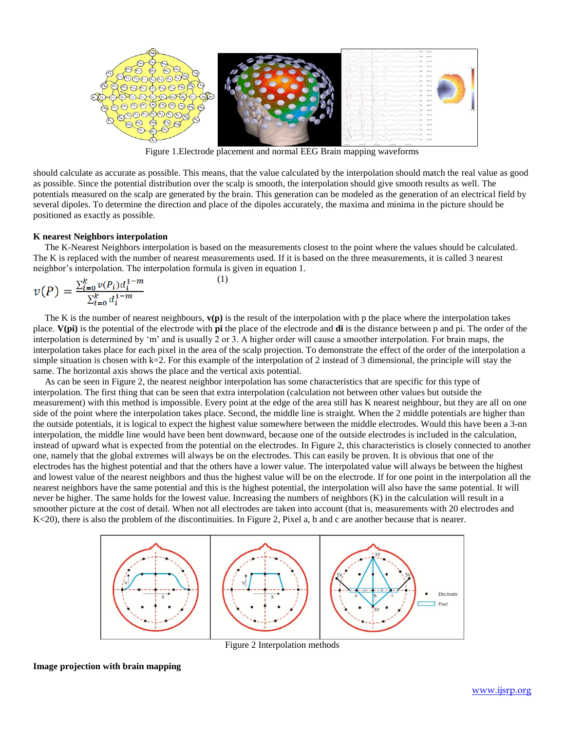

Figure 1.Electrode placement and normal EEG Brain mapping waveforms

should calculate as accurate as possible. This means, that the value calculated by the interpolation should match the real value as good as possible. Since the potential distribution over the scalp is smooth, the interpolation should give smooth results as well. The potentials measured on the scalp are generated by the brain. This generation can be modeled as the generation of an electrical field by several dipoles. To determine the direction and place of the dipoles accurately, the maxima and minima in the picture should be positioned as exactly as possible.

#### **K nearest Neighbors interpolation**

 The K-Nearest Neighbors interpolation is based on the measurements closest to the point where the values should be calculated. The K is replaced with the number of nearest measurements used. If it is based on the three measurements, it is called 3 nearest neighbor's interpolation. The interpolation formula is given in equation 1.

$$
\nu(P) = \frac{\sum_{i=0}^{k} \nu(P_i) d_i^{1-m}}{\sum_{i=0}^{k} d_i^{1-m}}
$$
 (1)

 The K is the number of nearest neighbours, **v(p)** is the result of the interpolation with p the place where the interpolation takes place. **V(pi)** is the potential of the electrode with **pi** the place of the electrode and **di** is the distance between p and pi. The order of the interpolation is determined by 'm' and is usually 2 or 3. A higher order will cause a smoother interpolation. For brain maps, the interpolation takes place for each pixel in the area of the scalp projection. To demonstrate the effect of the order of the interpolation a simple situation is chosen with  $k=2$ . For this example of the interpolation of 2 instead of 3 dimensional, the principle will stay the same. The horizontal axis shows the place and the vertical axis potential.

 As can be seen in Figure 2, the nearest neighbor interpolation has some characteristics that are specific for this type of interpolation. The first thing that can be seen that extra interpolation (calculation not between other values but outside the measurement) with this method is impossible. Every point at the edge of the area still has K nearest neighbour, but they are all on one side of the point where the interpolation takes place. Second, the middle line is straight. When the 2 middle potentials are higher than the outside potentials, it is logical to expect the highest value somewhere between the middle electrodes. Would this have been a 3-nn interpolation, the middle line would have been bent downward, because one of the outside electrodes is included in the calculation, instead of upward what is expected from the potential on the electrodes. In Figure 2, this characteristics is closely connected to another one, namely that the global extremes will always be on the electrodes. This can easily be proven. It is obvious that one of the electrodes has the highest potential and that the others have a lower value. The interpolated value will always be between the highest and lowest value of the nearest neighbors and thus the highest value will be on the electrode. If for one point in the interpolation all the nearest neighbors have the same potential and this is the highest potential, the interpolation will also have the same potential. It will never be higher. The same holds for the lowest value. Increasing the numbers of neighbors (K) in the calculation will result in a smoother picture at the cost of detail. When not all electrodes are taken into account (that is, measurements with 20 electrodes and K<20), there is also the problem of the discontinuities. In Figure 2, Pixel a, b and c are another because that is nearer.



Figure 2 Interpolation methods

## **Image projection with brain mapping**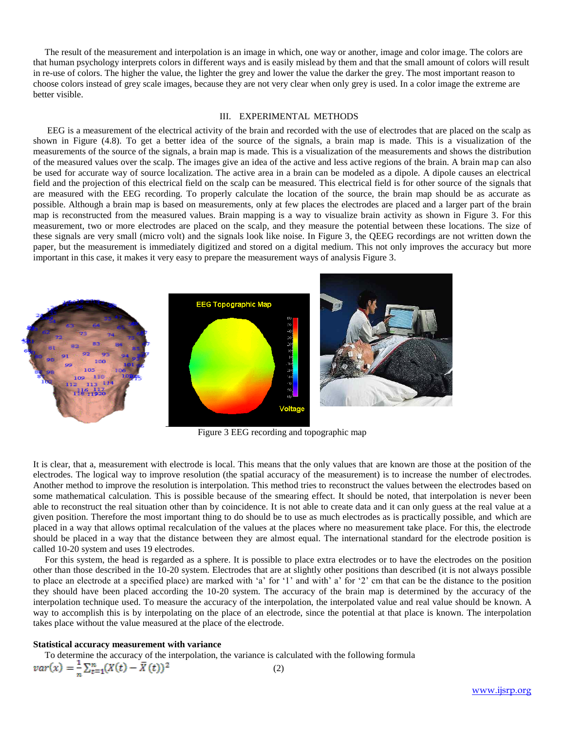The result of the measurement and interpolation is an image in which, one way or another, image and color image. The colors are that human psychology interprets colors in different ways and is easily mislead by them and that the small amount of colors will result in re-use of colors. The higher the value, the lighter the grey and lower the value the darker the grey. The most important reason to choose colors instead of grey scale images, because they are not very clear when only grey is used. In a color image the extreme are better visible.

## III. EXPERIMENTAL METHODS

EEG is a measurement of the electrical activity of the brain and recorded with the use of electrodes that are placed on the scalp as shown in Figure (4.8). To get a better idea of the source of the signals, a brain map is made. This is a visualization of the measurements of the source of the signals, a brain map is made. This is a visualization of the measurements and shows the distribution of the measured values over the scalp. The images give an idea of the active and less active regions of the brain. A brain map can also be used for accurate way of source localization. The active area in a brain can be modeled as a dipole. A dipole causes an electrical field and the projection of this electrical field on the scalp can be measured. This electrical field is for other source of the signals that are measured with the EEG recording. To properly calculate the location of the source, the brain map should be as accurate as possible. Although a brain map is based on measurements, only at few places the electrodes are placed and a larger part of the brain map is reconstructed from the measured values. Brain mapping is a way to visualize brain activity as shown in Figure 3. For this measurement, two or more electrodes are placed on the scalp, and they measure the potential between these locations. The size of these signals are very small (micro volt) and the signals look like noise. In Figure 3, the QEEG recordings are not written down the paper, but the measurement is immediately digitized and stored on a digital medium. This not only improves the accuracy but more important in this case, it makes it very easy to prepare the measurement ways of analysis Figure 3.



Figure 3 EEG recording and topographic map

It is clear, that a, measurement with electrode is local. This means that the only values that are known are those at the position of the electrodes. The logical way to improve resolution (the spatial accuracy of the measurement) is to increase the number of electrodes. Another method to improve the resolution is interpolation. This method tries to reconstruct the values between the electrodes based on some mathematical calculation. This is possible because of the smearing effect. It should be noted, that interpolation is never been able to reconstruct the real situation other than by coincidence. It is not able to create data and it can only guess at the real value at a given position. Therefore the most important thing to do should be to use as much electrodes as is practically possible, and which are placed in a way that allows optimal recalculation of the values at the places where no measurement take place. For this, the electrode should be placed in a way that the distance between they are almost equal. The international standard for the electrode position is called 10-20 system and uses 19 electrodes.

For this system, the head is regarded as a sphere. It is possible to place extra electrodes or to have the electrodes on the position other than those described in the 10-20 system. Electrodes that are at slightly other positions than described (it is not always possible to place an electrode at a specified place) are marked with 'a' for '1' and with' a' for '2' cm that can be the distance to the position they should have been placed according the 10-20 system. The accuracy of the brain map is determined by the accuracy of the interpolation technique used. To measure the accuracy of the interpolation, the interpolated value and real value should be known. A way to accomplish this is by interpolating on the place of an electrode, since the potential at that place is known. The interpolation takes place without the value measured at the place of the electrode.

#### **Statistical accuracy measurement with variance**

To determine the accuracy of the interpolation, the variance is calculated with the following formula

$$
var(x) = \frac{1}{n} \sum_{t=1}^{n} (X(t) - \bar{X}(t))^2
$$
 (2)